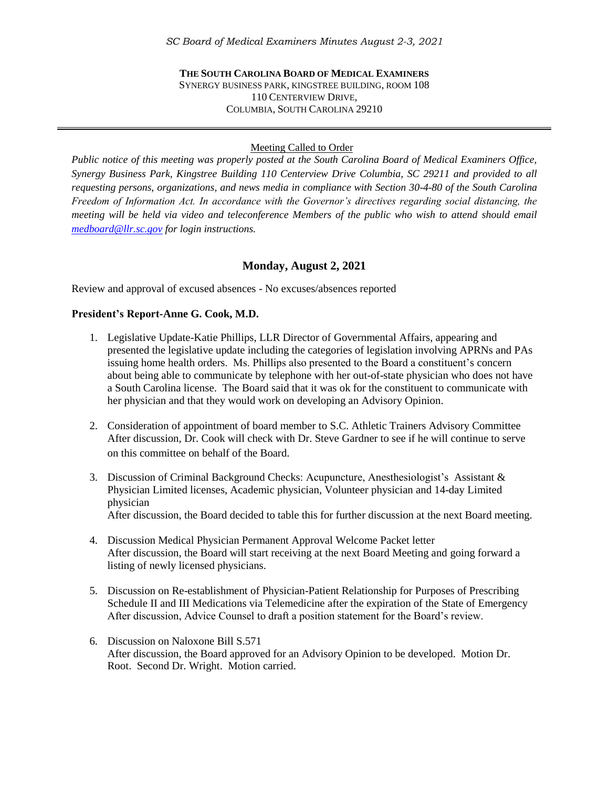## **THE SOUTH CAROLINA BOARD OF MEDICAL EXAMINERS** SYNERGY BUSINESS PARK, KINGSTREE BUILDING, ROOM 108 110 CENTERVIEW DRIVE, COLUMBIA, SOUTH CAROLINA 29210

#### Meeting Called to Order

*Public notice of this meeting was properly posted at the South Carolina Board of Medical Examiners Office, Synergy Business Park, Kingstree Building 110 Centerview Drive Columbia, SC 29211 and provided to all requesting persons, organizations, and news media in compliance with Section 30-4-80 of the South Carolina Freedom of Information Act. In accordance with the Governor's directives regarding social distancing, the meeting will be held via video and teleconference Members of the public who wish to attend should email [medboard@llr.sc.gov](mailto:medboard@llr.sc.gov) for login instructions.*

# **Monday, August 2, 2021**

Review and approval of excused absences - No excuses/absences reported

#### **President's Report-Anne G. Cook, M.D.**

- 1. Legislative Update-Katie Phillips, LLR Director of Governmental Affairs, appearing and presented the legislative update including the categories of legislation involving APRNs and PAs issuing home health orders. Ms. Phillips also presented to the Board a constituent's concern about being able to communicate by telephone with her out-of-state physician who does not have a South Carolina license. The Board said that it was ok for the constituent to communicate with her physician and that they would work on developing an Advisory Opinion.
- 2. Consideration of appointment of board member to S.C. Athletic Trainers Advisory Committee After discussion, Dr. Cook will check with Dr. Steve Gardner to see if he will continue to serve on this committee on behalf of the Board.
- 3. Discussion of Criminal Background Checks: Acupuncture, Anesthesiologist's Assistant & Physician Limited licenses, Academic physician, Volunteer physician and 14-day Limited physician After discussion, the Board decided to table this for further discussion at the next Board meeting.
- 4. Discussion Medical Physician Permanent Approval Welcome Packet letter After discussion, the Board will start receiving at the next Board Meeting and going forward a listing of newly licensed physicians.
- 5. Discussion on Re-establishment of Physician-Patient Relationship for Purposes of Prescribing Schedule II and III Medications via Telemedicine after the expiration of the State of Emergency After discussion, Advice Counsel to draft a position statement for the Board's review.
- 6. Discussion on Naloxone Bill S.571 After discussion, the Board approved for an Advisory Opinion to be developed. Motion Dr. Root. Second Dr. Wright. Motion carried.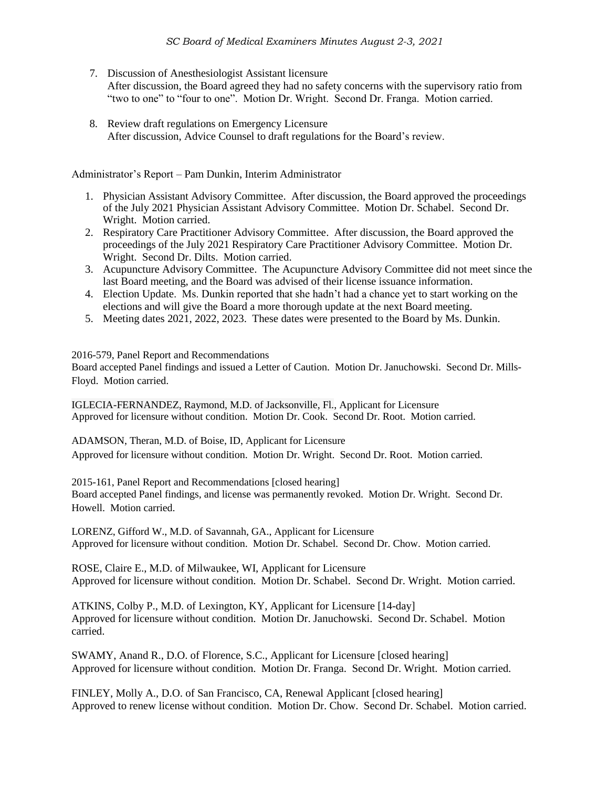- 7. Discussion of Anesthesiologist Assistant licensure After discussion, the Board agreed they had no safety concerns with the supervisory ratio from "two to one" to "four to one". Motion Dr. Wright. Second Dr. Franga. Motion carried.
- 8. Review draft regulations on Emergency Licensure After discussion, Advice Counsel to draft regulations for the Board's review.

Administrator's Report – Pam Dunkin, Interim Administrator

- 1. Physician Assistant Advisory Committee. After discussion, the Board approved the proceedings of the July 2021 Physician Assistant Advisory Committee. Motion Dr. Schabel. Second Dr. Wright. Motion carried.
- 2. Respiratory Care Practitioner Advisory Committee. After discussion, the Board approved the proceedings of the July 2021 Respiratory Care Practitioner Advisory Committee. Motion Dr. Wright. Second Dr. Dilts. Motion carried.
- 3. Acupuncture Advisory Committee. The Acupuncture Advisory Committee did not meet since the last Board meeting, and the Board was advised of their license issuance information.
- 4. Election Update. Ms. Dunkin reported that she hadn't had a chance yet to start working on the elections and will give the Board a more thorough update at the next Board meeting.
- 5. Meeting dates 2021, 2022, 2023. These dates were presented to the Board by Ms. Dunkin.

2016-579, Panel Report and Recommendations

Board accepted Panel findings and issued a Letter of Caution. Motion Dr. Januchowski. Second Dr. Mills-Floyd. Motion carried.

IGLECIA-FERNANDEZ, Raymond, M.D. of Jacksonville, Fl., Applicant for Licensure Approved for licensure without condition. Motion Dr. Cook. Second Dr. Root. Motion carried.

ADAMSON, Theran, M.D. of Boise, ID, Applicant for Licensure Approved for licensure without condition. Motion Dr. Wright. Second Dr. Root. Motion carried.

2015-161, Panel Report and Recommendations [closed hearing] Board accepted Panel findings, and license was permanently revoked. Motion Dr. Wright. Second Dr. Howell. Motion carried.

LORENZ, Gifford W., M.D. of Savannah, GA., Applicant for Licensure Approved for licensure without condition. Motion Dr. Schabel. Second Dr. Chow. Motion carried.

ROSE, Claire E., M.D. of Milwaukee, WI, Applicant for Licensure Approved for licensure without condition. Motion Dr. Schabel. Second Dr. Wright. Motion carried.

ATKINS, Colby P., M.D. of Lexington, KY, Applicant for Licensure [14-day] Approved for licensure without condition. Motion Dr. Januchowski. Second Dr. Schabel. Motion carried.

SWAMY, Anand R., D.O. of Florence, S.C., Applicant for Licensure [closed hearing] Approved for licensure without condition. Motion Dr. Franga. Second Dr. Wright. Motion carried.

FINLEY, Molly A., D.O. of San Francisco, CA, Renewal Applicant [closed hearing] Approved to renew license without condition. Motion Dr. Chow. Second Dr. Schabel. Motion carried.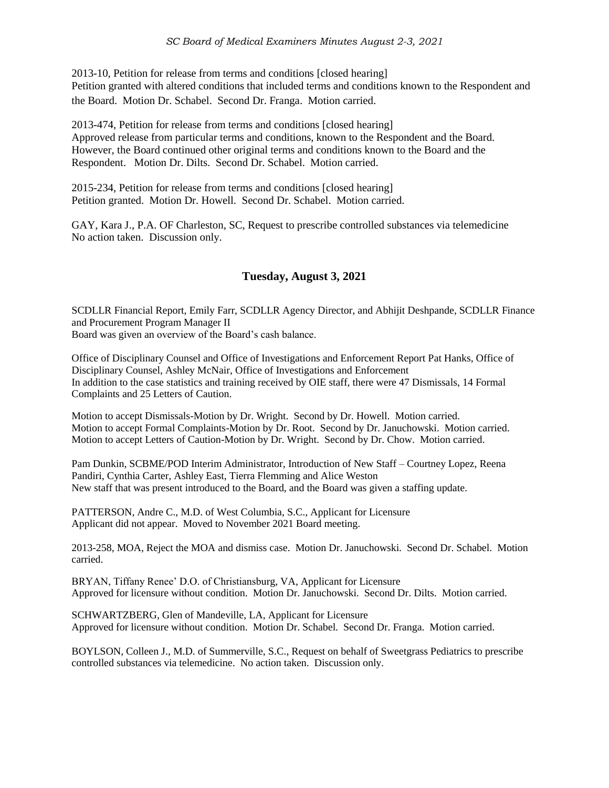2013-10, Petition for release from terms and conditions [closed hearing] Petition granted with altered conditions that included terms and conditions known to the Respondent and the Board. Motion Dr. Schabel. Second Dr. Franga. Motion carried.

2013-474, Petition for release from terms and conditions [closed hearing] Approved release from particular terms and conditions, known to the Respondent and the Board. However, the Board continued other original terms and conditions known to the Board and the Respondent. Motion Dr. Dilts. Second Dr. Schabel. Motion carried.

2015-234, Petition for release from terms and conditions [closed hearing] Petition granted. Motion Dr. Howell. Second Dr. Schabel. Motion carried.

GAY, Kara J., P.A. OF Charleston, SC, Request to prescribe controlled substances via telemedicine No action taken. Discussion only.

# **Tuesday, August 3, 2021**

SCDLLR Financial Report, Emily Farr, SCDLLR Agency Director, and Abhijit Deshpande, SCDLLR Finance and Procurement Program Manager II Board was given an overview of the Board's cash balance.

Office of Disciplinary Counsel and Office of Investigations and Enforcement Report Pat Hanks, Office of Disciplinary Counsel, Ashley McNair, Office of Investigations and Enforcement In addition to the case statistics and training received by OIE staff, there were 47 Dismissals, 14 Formal Complaints and 25 Letters of Caution.

Motion to accept Dismissals-Motion by Dr. Wright. Second by Dr. Howell. Motion carried. Motion to accept Formal Complaints-Motion by Dr. Root. Second by Dr. Januchowski. Motion carried. Motion to accept Letters of Caution-Motion by Dr. Wright. Second by Dr. Chow. Motion carried.

Pam Dunkin, SCBME/POD Interim Administrator, Introduction of New Staff – Courtney Lopez, Reena Pandiri, Cynthia Carter, Ashley East, Tierra Flemming and Alice Weston New staff that was present introduced to the Board, and the Board was given a staffing update.

PATTERSON, Andre C., M.D. of West Columbia, S.C., Applicant for Licensure Applicant did not appear. Moved to November 2021 Board meeting.

2013-258, MOA, Reject the MOA and dismiss case. Motion Dr. Januchowski. Second Dr. Schabel. Motion carried.

BRYAN, Tiffany Renee' D.O. of Christiansburg, VA, Applicant for Licensure Approved for licensure without condition. Motion Dr. Januchowski. Second Dr. Dilts. Motion carried.

SCHWARTZBERG, Glen of Mandeville, LA, Applicant for Licensure Approved for licensure without condition. Motion Dr. Schabel. Second Dr. Franga. Motion carried.

BOYLSON, Colleen J., M.D. of Summerville, S.C., Request on behalf of Sweetgrass Pediatrics to prescribe controlled substances via telemedicine. No action taken. Discussion only.